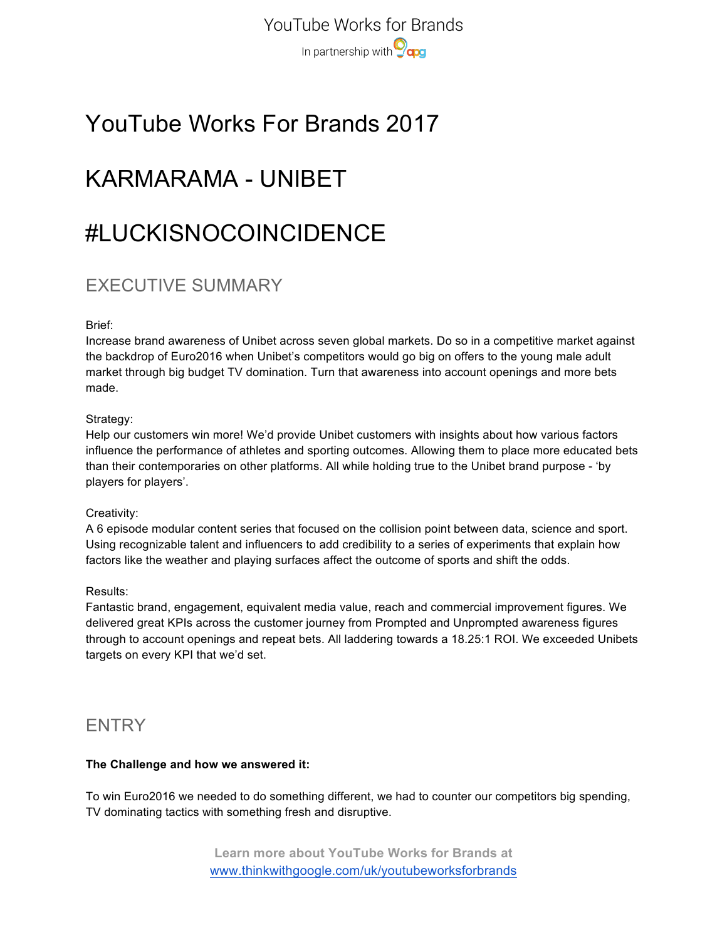YouTube Works for Brands In partnership with **Ocag** 

# YouTube Works For Brands 2017

# KARMARAMA - UNIBET

# #LUCKISNOCOINCIDENCE

## EXECUTIVE SUMMARY

### Brief:

Increase brand awareness of Unibet across seven global markets. Do so in a competitive market against the backdrop of Euro2016 when Unibet's competitors would go big on offers to the young male adult market through big budget TV domination. Turn that awareness into account openings and more bets made.

### Strategy:

Help our customers win more! We'd provide Unibet customers with insights about how various factors influence the performance of athletes and sporting outcomes. Allowing them to place more educated bets than their contemporaries on other platforms. All while holding true to the Unibet brand purpose - 'by players for players'.

### Creativity:

A 6 episode modular content series that focused on the collision point between data, science and sport. Using recognizable talent and influencers to add credibility to a series of experiments that explain how factors like the weather and playing surfaces affect the outcome of sports and shift the odds.

### Results:

Fantastic brand, engagement, equivalent media value, reach and commercial improvement figures. We delivered great KPIs across the customer journey from Prompted and Unprompted awareness figures through to account openings and repeat bets. All laddering towards a 18.25:1 ROI. We exceeded Unibets targets on every KPI that we'd set.

### **ENTRY**

#### **The Challenge and how we answered it:**

To win Euro2016 we needed to do something different, we had to counter our competitors big spending, TV dominating tactics with something fresh and disruptive.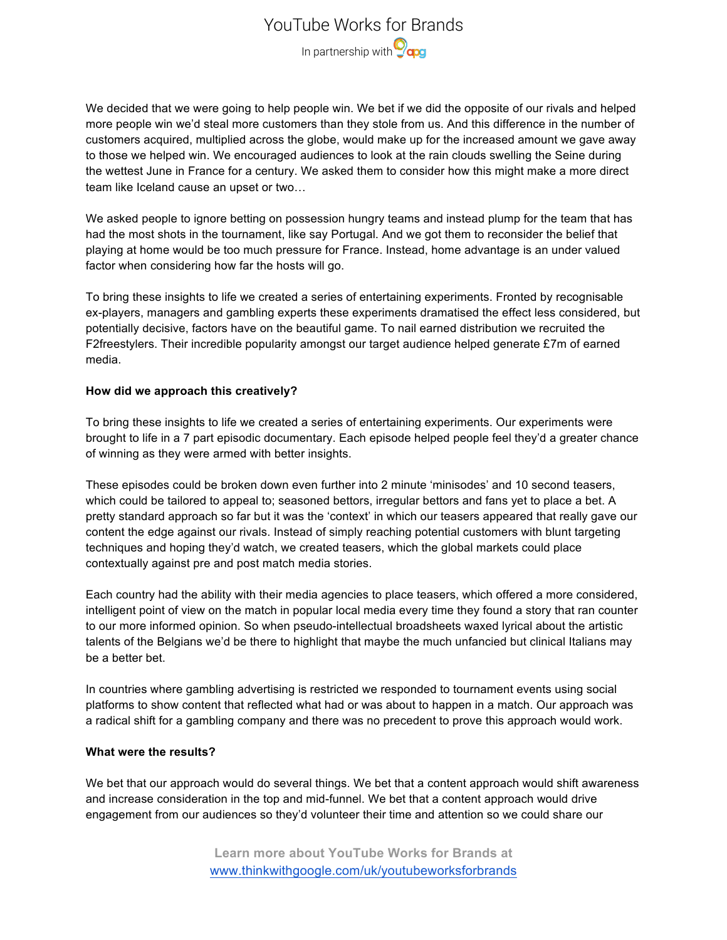## YouTube Works for Brands In partnership with **O<sub>cpg</sub>**

We decided that we were going to help people win. We bet if we did the opposite of our rivals and helped more people win we'd steal more customers than they stole from us. And this difference in the number of customers acquired, multiplied across the globe, would make up for the increased amount we gave away to those we helped win. We encouraged audiences to look at the rain clouds swelling the Seine during the wettest June in France for a century. We asked them to consider how this might make a more direct team like Iceland cause an upset or two…

We asked people to ignore betting on possession hungry teams and instead plump for the team that has had the most shots in the tournament, like say Portugal. And we got them to reconsider the belief that playing at home would be too much pressure for France. Instead, home advantage is an under valued factor when considering how far the hosts will go.

To bring these insights to life we created a series of entertaining experiments. Fronted by recognisable ex-players, managers and gambling experts these experiments dramatised the effect less considered, but potentially decisive, factors have on the beautiful game. To nail earned distribution we recruited the F2freestylers. Their incredible popularity amongst our target audience helped generate £7m of earned media.

### **How did we approach this creatively?**

To bring these insights to life we created a series of entertaining experiments. Our experiments were brought to life in a 7 part episodic documentary. Each episode helped people feel they'd a greater chance of winning as they were armed with better insights.

These episodes could be broken down even further into 2 minute 'minisodes' and 10 second teasers, which could be tailored to appeal to; seasoned bettors, irregular bettors and fans yet to place a bet. A pretty standard approach so far but it was the 'context' in which our teasers appeared that really gave our content the edge against our rivals. Instead of simply reaching potential customers with blunt targeting techniques and hoping they'd watch, we created teasers, which the global markets could place contextually against pre and post match media stories.

Each country had the ability with their media agencies to place teasers, which offered a more considered, intelligent point of view on the match in popular local media every time they found a story that ran counter to our more informed opinion. So when pseudo-intellectual broadsheets waxed lyrical about the artistic talents of the Belgians we'd be there to highlight that maybe the much unfancied but clinical Italians may be a better bet.

In countries where gambling advertising is restricted we responded to tournament events using social platforms to show content that reflected what had or was about to happen in a match. Our approach was a radical shift for a gambling company and there was no precedent to prove this approach would work.

#### **What were the results?**

We bet that our approach would do several things. We bet that a content approach would shift awareness and increase consideration in the top and mid-funnel. We bet that a content approach would drive engagement from our audiences so they'd volunteer their time and attention so we could share our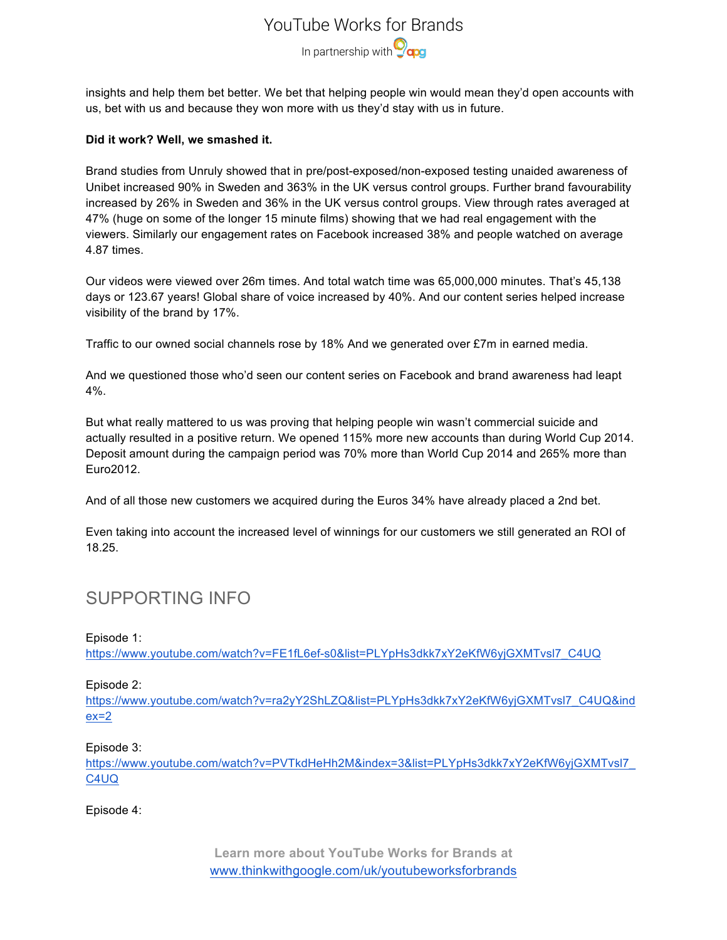## YouTube Works for Brands In partnership with **O**qog

insights and help them bet better. We bet that helping people win would mean they'd open accounts with us, bet with us and because they won more with us they'd stay with us in future.

### **Did it work? Well, we smashed it.**

Brand studies from Unruly showed that in pre/post-exposed/non-exposed testing unaided awareness of Unibet increased 90% in Sweden and 363% in the UK versus control groups. Further brand favourability increased by 26% in Sweden and 36% in the UK versus control groups. View through rates averaged at 47% (huge on some of the longer 15 minute films) showing that we had real engagement with the viewers. Similarly our engagement rates on Facebook increased 38% and people watched on average 4.87 times.

Our videos were viewed over 26m times. And total watch time was 65,000,000 minutes. That's 45,138 days or 123.67 years! Global share of voice increased by 40%. And our content series helped increase visibility of the brand by 17%.

Traffic to our owned social channels rose by 18% And we generated over £7m in earned media.

And we questioned those who'd seen our content series on Facebook and brand awareness had leapt 4%.

But what really mattered to us was proving that helping people win wasn't commercial suicide and actually resulted in a positive return. We opened 115% more new accounts than during World Cup 2014. Deposit amount during the campaign period was 70% more than World Cup 2014 and 265% more than Euro2012.

And of all those new customers we acquired during the Euros 34% have already placed a 2nd bet.

Even taking into account the increased level of winnings for our customers we still generated an ROI of 18.25.

### SUPPORTING INFO

Episode 1:

https://www.youtube.com/watch?v=FE1fL6ef-s0&list=PLYpHs3dkk7xY2eKfW6yjGXMTvsl7\_C4UQ

### Episode 2:

https://www.youtube.com/watch?v=ra2yY2ShLZQ&list=PLYpHs3dkk7xY2eKfW6yjGXMTvsl7\_C4UQ&ind  $ex=2$ 

#### Episode 3:

https://www.youtube.com/watch?v=PVTkdHeHh2M&index=3&list=PLYpHs3dkk7xY2eKfW6yjGXMTvsl7 C4UQ

Episode 4:

**Learn more about YouTube Works for Brands at** www.thinkwithgoogle.com/uk/youtubeworksforbrands